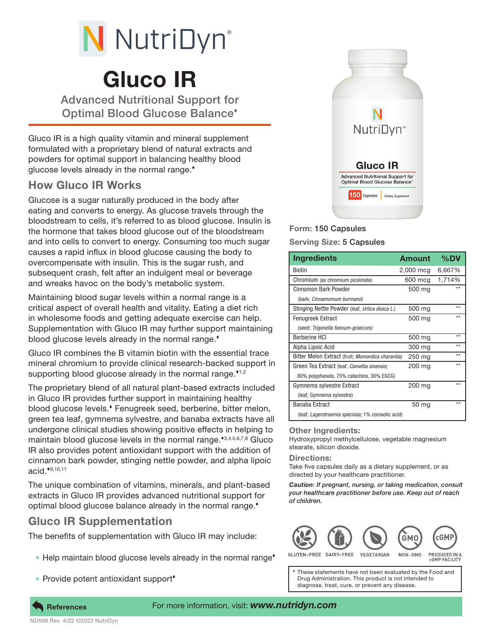# N NutriDyn®

# Gluco IR

Advanced Nutritional Support for Optimal Blood Glucose Balance

Gluco IR is a high quality vitamin and mineral supplement formulated with a proprietary blend of natural extracts and powders for optimal support in balancing healthy blood glucose levels already in the normal range.

## How Gluco IR Works

Glucose is a sugar naturally produced in the body after eating and converts to energy. As glucose travels through the bloodstream to cells, it's referred to as blood glucose. Insulin is the hormone that takes blood glucose out of the bloodstream and into cells to convert to energy. Consuming too much sugar causes a rapid influx in blood glucose causing the body to overcompensate with insulin. This is the sugar rush, and subsequent crash, felt after an indulgent meal or beverage and wreaks havoc on the body's metabolic system.

Maintaining blood sugar levels within a normal range is a critical aspect of overall health and vitality. Eating a diet rich in wholesome foods and getting adequate exercise can help. Supplementation with Gluco IR may further support maintaining blood glucose levels already in the normal range.<sup>\*</sup>

Gluco IR combines the B vitamin biotin with the essential trace mineral chromium to provide clinical research-backed support in supporting blood glucose already in the normal range. $1/2$ 

The proprietary blend of all natural plant-based extracts included in Gluco IR provides further support in maintaining healthy blood glucose levels. Fenugreek seed, berberine, bitter melon, green tea leaf, gymnema sylvestre, and banaba extracts have all undergone clinical studies showing positive effects in helping to maintain blood glucose levels in the normal range.\*3,4,5,6,7,8 Gluco IR also provides potent antioxidant support with the addition of cinnamon bark powder, stinging nettle powder, and alpha lipoic acid.<sup>\*9,10,11</sup>

The unique combination of vitamins, minerals, and plant-based extracts in Gluco IR provides advanced nutritional support for optimal blood glucose balance already in the normal range.

# Gluco IR Supplementation

The benefits of supplementation with Gluco IR may include:

- Help maintain blood glucose levels already in the normal range<sup>\*</sup>
- Provide potent antioxidant support<sup>\*</sup>



### Form: 150 Capsules

Serving Size: 5 Capsules

| <b>Ingredients</b>                                       | <b>Amount</b> | $\%$ DV |
|----------------------------------------------------------|---------------|---------|
| Biotin                                                   | 2,000 mcg     | 6,667%  |
| Chromium (as chromium picolinate)                        | 600 mcq       | 1,714%  |
| Cinnamon Bark Powder                                     | 500 mg        | **      |
| (bark; Cinnamomum burmanii)                              |               |         |
| Stinging Nettle Powder (leaf; Urtica dioica L.)          | 500 mg        | $**$    |
| <b>Fenugreek Extract</b>                                 | 500 mg        | $**$    |
| (seed; Trigonella foenum-graecum)                        |               |         |
| <b>Berberine HCI</b>                                     | 500 mg        | $**$    |
| Alpha Lipoic Acid                                        | 300 mg        | $**$    |
| Bitter Melon Extract (fruit; Momordica charantia)        | 250 mg        | $**$    |
| Green Tea Extract (leaf; Camellia sinensis;              | 200 mg        | **      |
| 80% polyphenols, 75% catechins, 30% EGCG)                |               |         |
| Gymnema sylvestre Extract                                | 200 mg        | $**$    |
| (leaf; Gymnema sylvestre)                                |               |         |
| Banaba Extract                                           | 50 mg         | $**$    |
| (leaf: <i>Lagerstroemia speciosa:</i> 1% corosolic acid) |               |         |

#### Other Ingredients:

Hydroxypropyl methylcellulose, vegetable magnesium stearate, silicon dioxide.

#### Directions:

Take five capsules daily as a dietary supplement, or as directed by your healthcare practitioner.

*Caution: If pregnant, nursing, or taking medication, consult your healthcare practitioner before use. Keep out of reach of children.*



PRODUCED IN A **CGMP FACILITY** 

These statements have not been evaluated by the Food and Drug Administration. This product is not intended to diagnose, treat, cure, or prevent any disease.



ND506 Rev. 4/22 ©2022 NutriDyn